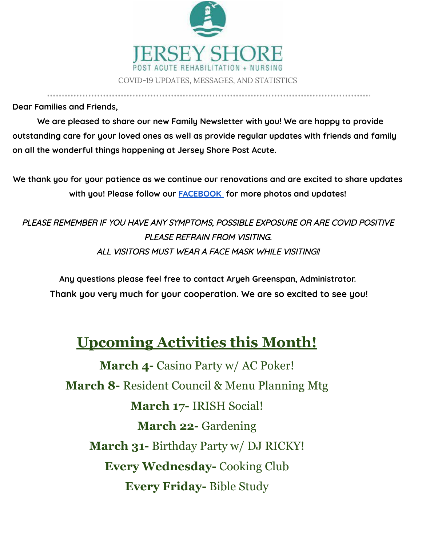

**Dear Families and Friends,**

**We are pleased to share our new Family Newsletter with you! We are happy to provide outstanding care for your loved ones as well as provide regular updates with friends and family on all the wonderful things happening at Jersey Shore Post Acute.**

**We thank you for your patience as we continue our renovations and are excited to share updates with you! Please follow our [FACEBOOK](https://www.facebook.com/jspanursinghome) for more photos and updates!**

PLEASE REMEMBER IF YOU HAVE ANY SYMPTOMS, POSSIBLE EXPOSURE OR ARE COVID POSITIVE PLEASE REFRAIN FROM VISITING. ALL VISITORS MUST WEAR A FACE MASK WHILE VISITING!!

**Any questions please feel free to contact Aryeh Greenspan, Administrator. Thank you very much for your cooperation. We are so excited to see you!**

## **Upcoming Activities this Month!**

**March 4-** Casino Party w/ AC Poker! **March 8-** Resident Council & Menu Planning Mtg **March 17-** IRISH Social! **March 22-** Gardening **March 31-** Birthday Party w/ DJ RICKY! **Every Wednesday-** Cooking Club **Every Friday-** Bible Study